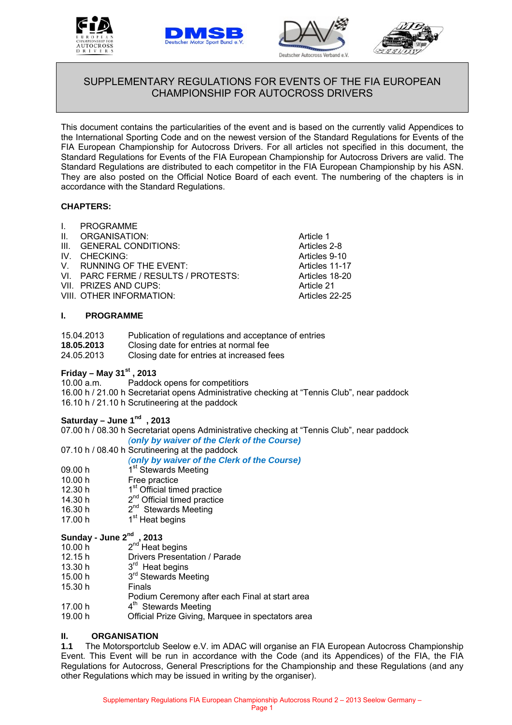





Articles 2-8 Articles 9-10 Articles 11-17 Articles 18-20 Article 21 Articles 22-25



# SUPPLEMENTARY REGULATIONS FOR EVENTS OF THE FIA EUROPEAN CHAMPIONSHIP FOR AUTOCROSS DRIVERS

This document contains the particularities of the event and is based on the currently valid Appendices to the International Sporting Code and on the newest version of the Standard Regulations for Events of the FIA European Championship for Autocross Drivers. For all articles not specified in this document, the Standard Regulations for Events of the FIA European Championship for Autocross Drivers are valid. The Standard Regulations are distributed to each competitor in the FIA European Championship by his ASN. They are also posted on the Official Notice Board of each event. The numbering of the chapters is in accordance with the Standard Regulations.

# **CHAPTERS:**

| I. PROGRAMME                         |                   |
|--------------------------------------|-------------------|
| II. ORGANISATION:                    | Article 1         |
| III. GENERAL CONDITIONS:             | <b>Articles 2</b> |
| IV. CHECKING:                        | Articles 9        |
| V. RUNNING OF THE EVENT:             | <b>Articles 1</b> |
| VI. PARC FERME / RESULTS / PROTESTS: | <b>Articles 1</b> |
| VII. PRIZES AND CUPS:                | Article 2         |
| VIII. OTHER INFORMATION:             | <b>Articles 2</b> |
|                                      |                   |

# **I. PROGRAMME**

| 15.04.2013 | Publication of regulations and acceptance of entries |
|------------|------------------------------------------------------|
| 18.05.2013 | Closing date for entries at normal fee               |
| 24.05.2013 | Closing date for entries at increased fees           |

# **Friday – May 31st , 2013**

Paddock opens for competitiors

16.00 h / 21.00 h Secretariat opens Administrative checking at "Tennis Club", near paddock 16.10 h / 21.10 h Scrutineering at the paddock

# **Saturday – June 1nd , 2013**

07.00 h / 08.30 h Secretariat opens Administrative checking at "Tennis Club", near paddock *(only by waiver of the Clerk of the Course)* 

# 07.10 h / 08.40 h Scrutineering at the paddock

*(only by waiver of the Clerk of the Course)*

- 09.00 h  $1^{\text{st}}$  Stewards Meeting 10.00 h Free practice
- Free practice
- 12.30 h  $1<sup>st</sup>$  Official timed practice
- 14.30 h  $2^{nd}$  Official timed practice
- 16.30 h 2<sup>nd</sup> Stewards Meeting
- 17.00 h  $1<sup>st</sup>$  Heat begins

# **Sunday - June 2nd , 2013**

- $30.00 h$   $2<sup>nd</sup>$  Heat begins
- 12.15 h Drivers Presentation / Parade
- 13.30 h  $3<sup>rd</sup>$  Heat begins
- 15.00 h 3<sup>rd</sup> Stewards Meeting
- 15.30 h Finals
- Podium Ceremony after each Final at start area
- 17.00 h  $4^{\text{th}}$  Stewards Meeting
- 19.00 h Official Prize Giving, Marquee in spectators area

# **II. ORGANISATION**

**1.1** The Motorsportclub Seelow e.V. im ADAC will organise an FIA European Autocross Championship Event. This Event will be run in accordance with the Code (and its Appendices) of the FIA, the FIA Regulations for Autocross, General Prescriptions for the Championship and these Regulations (and any other Regulations which may be issued in writing by the organiser).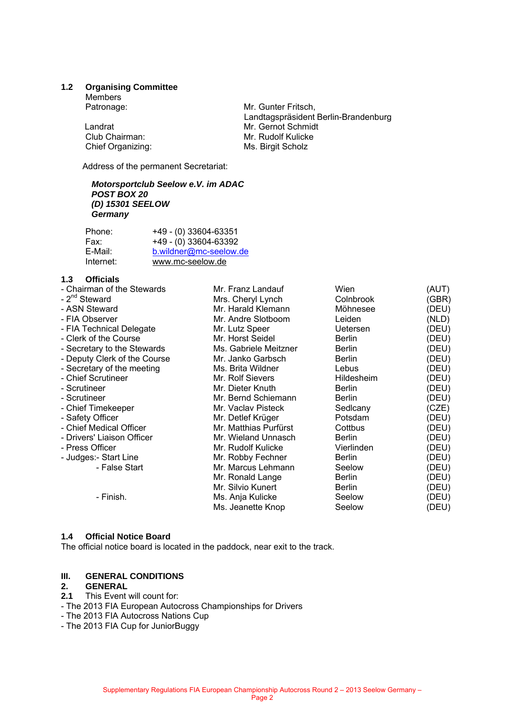#### **1.2 Organising Committee**

Members

Landrat<br>
Club Chairman: Club Chairman: Mr. Rudolf Kulicke Chief Organizing: Ms. Birgit Scholz

Patronage: Mr. Gunter Fritsch, Landtagspräsident Berlin-Brandenburg Mr. Rudolf Kulicke

Address of the permanent Secretariat:

#### *Motorsportclub Seelow e.V. im ADAC POST BOX 20 (D) 15301 SEELOW Germany*

| Phone:    | +49 - (0) 33604-63351  |
|-----------|------------------------|
| Fax:      | +49 - (0) 33604-63392  |
| E-Mail:   | b.wildner@mc-seelow.de |
| Internet: | www.mc-seelow.de       |

# **1.3 Officials**

| - Chairman of the Stewards   | Mr. Franz Landauf     | Wien            | (AUT) |
|------------------------------|-----------------------|-----------------|-------|
| - 2 <sup>nd</sup> Steward    | Mrs. Cheryl Lynch     | Colnbrook       | (GBR) |
| - ASN Steward                | Mr. Harald Klemann    | Möhnesee        | (DEU) |
| - FIA Observer               | Mr. Andre Slotboom    | Leiden          | (NLD) |
| - FIA Technical Delegate     | Mr. Lutz Speer        | <b>Uetersen</b> | (DEU) |
| - Clerk of the Course        | Mr. Horst Seidel      | <b>Berlin</b>   | (DEU) |
| - Secretary to the Stewards  | Ms. Gabriele Meitzner | <b>Berlin</b>   | (DEU) |
| - Deputy Clerk of the Course | Mr. Janko Garbsch     | <b>Berlin</b>   | (DEU) |
| - Secretary of the meeting   | Ms. Brita Wildner     | Lebus           | (DEU) |
| - Chief Scrutineer           | Mr. Rolf Sievers      | Hildesheim      | (DEU) |
| - Scrutineer                 | Mr. Dieter Knuth      | <b>Berlin</b>   | (DEU) |
| - Scrutineer                 | Mr. Bernd Schiemann   | <b>Berlin</b>   | (DEU) |
| - Chief Timekeeper           | Mr. Vaclav Pisteck    | Sedlcany        | (CZE) |
| - Safety Officer             | Mr. Detlef Krüger     | Potsdam         | (DEU) |
| - Chief Medical Officer      | Mr. Matthias Purfürst | Cottbus         | (DEU) |
| - Drivers' Liaison Officer   | Mr. Wieland Unnasch   | Berlin          | (DEU) |
| - Press Officer              | Mr. Rudolf Kulicke    | Vierlinden      | (DEU) |
| - Judges:- Start Line        | Mr. Robby Fechner     | <b>Berlin</b>   | (DEU) |
| - False Start                | Mr. Marcus Lehmann    | Seelow          | (DEU) |
|                              | Mr. Ronald Lange      | <b>Berlin</b>   | (DEU) |
|                              | Mr. Silvio Kunert     | <b>Berlin</b>   | (DEU) |
| - Finish.                    | Ms. Anja Kulicke      | Seelow          | (DEU) |
|                              | Ms. Jeanette Knop     | Seelow          | (DEU) |
|                              |                       |                 |       |

#### **1.4 Official Notice Board**

The official notice board is located in the paddock, near exit to the track.

#### **III. GENERAL CONDITIONS**

#### **2. GENERAL**

- **2.1** This Event will count for:
- The 2013 FIA European Autocross Championships for Drivers
- The 2013 FIA Autocross Nations Cup
- The 2013 FIA Cup for JuniorBuggy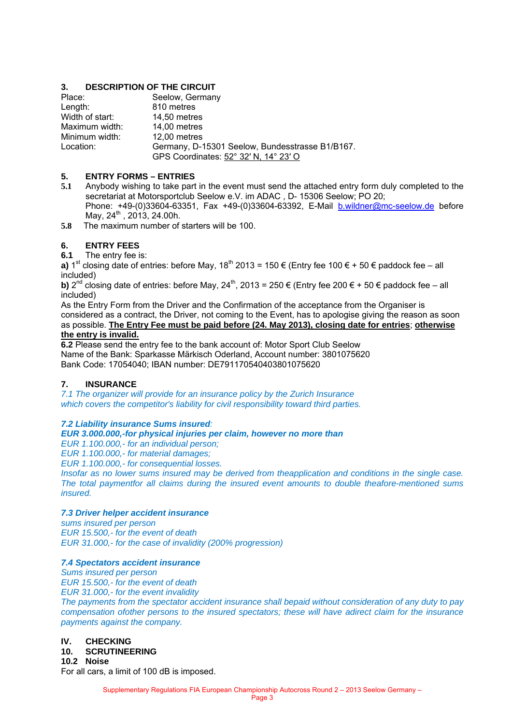# **3. DESCRIPTION OF THE CIRCUIT**

| Place:          | Seelow, Germany                                 |
|-----------------|-------------------------------------------------|
| Length:         | 810 metres                                      |
| Width of start: | 14,50 metres                                    |
| Maximum width:  | 14,00 metres                                    |
| Minimum width:  | 12,00 metres                                    |
| Location:       | Germany, D-15301 Seelow, Bundesstrasse B1/B167. |
|                 | GPS Coordinates: 52° 32' N, 14° 23' O           |

## **5. ENTRY FORMS – ENTRIES**

- **5.1** Anybody wishing to take part in the event must send the attached entry form duly completed to the secretariat at Motorsportclub Seelow e.V. im ADAC , D- 15306 Seelow; PO 20; Phone: +49-(0)33604-63351, Fax +49-(0)33604-63392, E-Mail b.wildner@mc-seelow.de before May,  $24^{th}$ ,  $2013$ ,  $24.00h$ .
- **5.8** The maximum number of starters will be 100.

# **6. ENTRY FEES**

**6.1** The entry fee is:

**a)** 1<sup>st</sup> closing date of entries: before May, 18<sup>th</sup> 2013 = 150 € (Entry fee 100 € + 50 € paddock fee – all included)

**b)**  $2^{nd}$  closing date of entries: before May,  $24^{th}$ ,  $2013 = 250 \in$  (Entry fee 200  $\in$  + 50  $\in$  paddock fee – all included)

As the Entry Form from the Driver and the Confirmation of the acceptance from the Organiser is considered as a contract, the Driver, not coming to the Event, has to apologise giving the reason as soon as possible. **The Entry Fee must be paid before (24. May 2013), closing date for entries**; **otherwise the entry is invalid.**

**6.2** Please send the entry fee to the bank account of: Motor Sport Club Seelow Name of the Bank: Sparkasse Märkisch Oderland, Account number: 3801075620 Bank Code: 17054040; IBAN number: DE791170540403801075620

# **7. INSURANCE**

*7.1 The organizer will provide for an insurance policy by the Zurich Insurance which covers the competitor's liability for civil responsibility toward third parties.* 

#### *7.2 Liability insurance Sums insured:*

#### *EUR 3.000.000,-for physical injuries per claim, however no more than*

*EUR 1.100.000,- for an individual person;* 

*EUR 1.100.000,- for material damages;* 

*EUR 1.100.000,- for consequential losses.* 

*Insofar as no lower sums insured may be derived from theapplication and conditions in the single case. The total paymentfor all claims during the insured event amounts to double theafore-mentioned sums insured.* 

## *7.3 Driver helper accident insurance*

*sums insured per person EUR 15.500,- for the event of death EUR 31.000,- for the case of invalidity (200% progression)* 

#### *7.4 Spectators accident insurance*

*Sums insured per person EUR 15.500,- for the event of death EUR 31.000,- for the event invalidity* 

*The payments from the spectator accident insurance shall bepaid without consideration of any duty to pay compensation ofother persons to the insured spectators; these will have adirect claim for the insurance payments against the company.* 

#### **IV. CHECKING**

#### **10. SCRUTINEERING**

**10.2 Noise** 

For all cars, a limit of 100 dB is imposed.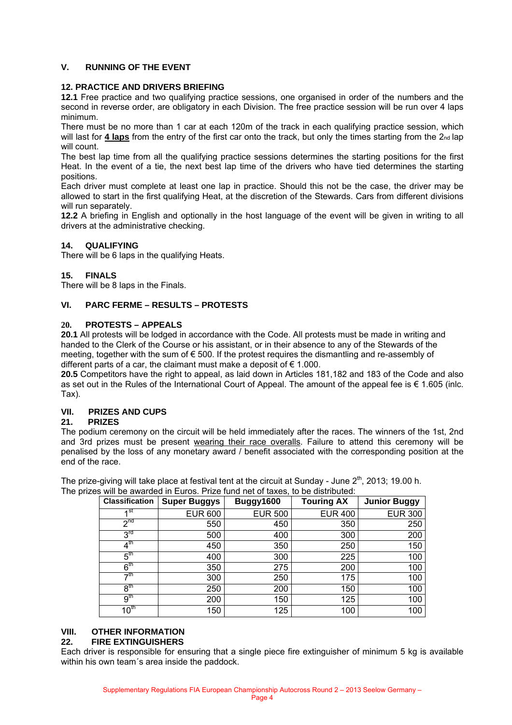# **V. RUNNING OF THE EVENT**

## **12. PRACTICE AND DRIVERS BRIEFING**

**12.1** Free practice and two qualifying practice sessions, one organised in order of the numbers and the second in reverse order, are obligatory in each Division. The free practice session will be run over 4 laps minimum.

There must be no more than 1 car at each 120m of the track in each qualifying practice session, which will last for 4 laps from the entry of the first car onto the track, but only the times starting from the 2nd lap will count.

The best lap time from all the qualifying practice sessions determines the starting positions for the first Heat. In the event of a tie, the next best lap time of the drivers who have tied determines the starting positions.

Each driver must complete at least one lap in practice. Should this not be the case, the driver may be allowed to start in the first qualifying Heat, at the discretion of the Stewards. Cars from different divisions will run separately.

**12.2** A briefing in English and optionally in the host language of the event will be given in writing to all drivers at the administrative checking.

# **14. QUALIFYING**

There will be 6 laps in the qualifying Heats.

#### **15. FINALS**

There will be 8 laps in the Finals.

#### **VI. PARC FERME – RESULTS – PROTESTS**

#### **20. PROTESTS – APPEALS**

**20.1** All protests will be lodged in accordance with the Code. All protests must be made in writing and handed to the Clerk of the Course or his assistant, or in their absence to any of the Stewards of the meeting, together with the sum of € 500. If the protest requires the dismantling and re-assembly of different parts of a car, the claimant must make a deposit of  $\epsilon$  1.000.

**20.5** Competitors have the right to appeal, as laid down in Articles 181,182 and 183 of the Code and also as set out in the Rules of the International Court of Appeal. The amount of the appeal fee is € 1.605 (inlc. Tax).

# **VII. PRIZES AND CUPS**

#### **21. PRIZES**

The podium ceremony on the circuit will be held immediately after the races. The winners of the 1st, 2nd and 3rd prizes must be present wearing their race overalls. Failure to attend this ceremony will be penalised by the loss of any monetary award / benefit associated with the corresponding position at the end of the race.

The prize-giving will take place at festival tent at the circuit at Sunday - June  $2<sup>th</sup>$ , 2013; 19.00 h. The prizes will be awarded in Euros. Prize fund net of taxes, to be distributed:

| <b>Classification</b> | <b>Super Buggys</b> | Buggy1600      | <b>Touring AX</b> | <b>Junior Buggy</b> |
|-----------------------|---------------------|----------------|-------------------|---------------------|
| 4st                   | <b>EUR 600</b>      | <b>EUR 500</b> | <b>EUR 400</b>    | <b>EUR 300</b>      |
| 2 <sub>nd</sub>       | 550                 | 450            | 350               | 250                 |
| 3 <sup>rd</sup>       | 500                 | 400            | 300               | 200                 |
| $4^{\text{th}}$       | 450                 | 350            | 250               | 150                 |
| $5^{\text{th}}$       | 400                 | 300            | 225               | 100                 |
| 6 <sup>th</sup>       | 350                 | 275            | 200               | 100                 |
| $\neg$ th             | 300                 | 250            | 175               | 100                 |
| 8 <sup>th</sup>       | 250                 | 200            | 150               | 100                 |
| 9 <sup>th</sup>       | 200                 | 150            | 125               | 100                 |
| 10 <sup>th</sup>      | 150                 | 125            | 100               | 100                 |

# **VIII. OTHER INFORMATION**

#### **22. FIRE EXTINGUISHERS**

Each driver is responsible for ensuring that a single piece fire extinguisher of minimum 5 kg is available within his own team´s area inside the paddock.